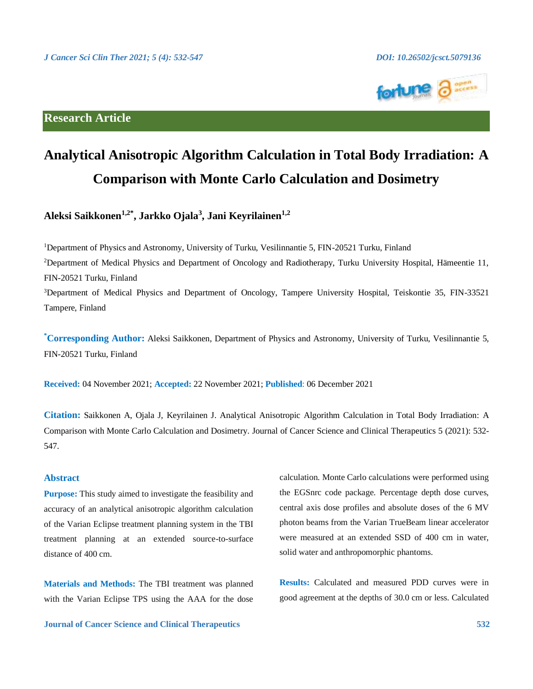

# **Research Article**

# **Analytical Anisotropic Algorithm Calculation in Total Body Irradiation: A Comparison with Monte Carlo Calculation and Dosimetry**

**Aleksi Saikkonen1,2\* , Jarkko Ojala<sup>3</sup> , Jani Keyrilainen1,2**

<sup>1</sup>Department of Physics and Astronomy, University of Turku, Vesilinnantie 5, FIN-20521 Turku, Finland <sup>2</sup>Department of Medical Physics and Department of Oncology and Radiotherapy, Turku University Hospital, Hämeentie 11, FIN-20521 Turku, Finland <sup>3</sup>Department of Medical Physics and Department of Oncology, Tampere University Hospital, Teiskontie 35, FIN-33521 Tampere, Finland

**\*Corresponding Author:** Aleksi Saikkonen, Department of Physics and Astronomy, University of Turku, Vesilinnantie 5, FIN-20521 Turku, Finland

**Received:** 04 November 2021; **Accepted:** 22 November 2021; **Published**: 06 December 2021

**Citation:** Saikkonen A, Ojala J, Keyrilainen J. Analytical Anisotropic Algorithm Calculation in Total Body Irradiation: A Comparison with Monte Carlo Calculation and Dosimetry. Journal of Cancer Science and Clinical Therapeutics 5 (2021): 532- 547.

# **Abstract**

**Purpose:** This study aimed to investigate the feasibility and accuracy of an analytical anisotropic algorithm calculation of the Varian Eclipse treatment planning system in the TBI treatment planning at an extended source-to-surface distance of 400 cm.

**Materials and Methods:** The TBI treatment was planned with the Varian Eclipse TPS using the AAA for the dose

**Journal of Cancer Science and Clinical Therapeutics 532**

calculation. Monte Carlo calculations were performed using the EGSnrc code package. Percentage depth dose curves, central axis dose profiles and absolute doses of the 6 MV photon beams from the Varian TrueBeam linear accelerator were measured at an extended SSD of 400 cm in water, solid water and anthropomorphic phantoms.

**Results:** Calculated and measured PDD curves were in good agreement at the depths of 30.0 cm or less. Calculated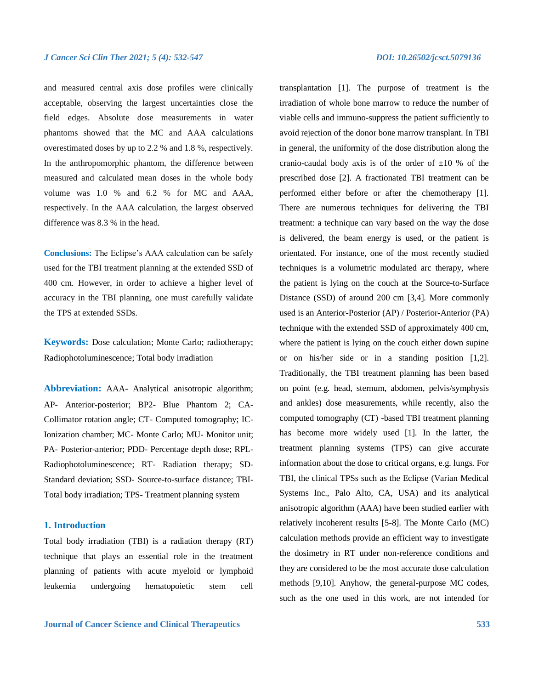and measured central axis dose profiles were clinically acceptable, observing the largest uncertainties close the field edges. Absolute dose measurements in water phantoms showed that the MC and AAA calculations overestimated doses by up to 2.2 % and 1.8 %, respectively. In the anthropomorphic phantom, the difference between measured and calculated mean doses in the whole body volume was 1.0 % and 6.2 % for MC and AAA, respectively. In the AAA calculation, the largest observed difference was 8.3 % in the head.

**Conclusions:** The Eclipse's AAA calculation can be safely used for the TBI treatment planning at the extended SSD of 400 cm. However, in order to achieve a higher level of accuracy in the TBI planning, one must carefully validate the TPS at extended SSDs.

**Keywords:** Dose calculation; Monte Carlo; radiotherapy; Radiophotoluminescence; Total body irradiation

**Abbreviation:** AAA- Analytical anisotropic algorithm; AP- Anterior-posterior; BP2- Blue Phantom 2; CA-Collimator rotation angle; CT- Computed tomography; IC-Ionization chamber; MC- Monte Carlo; MU- Monitor unit; PA- Posterior-anterior; PDD- Percentage depth dose; RPL-Radiophotoluminescence; RT- Radiation therapy; SD-Standard deviation; SSD- Source-to-surface distance; TBI-Total body irradiation; TPS- Treatment planning system

# **1. Introduction**

Total body irradiation (TBI) is a radiation therapy (RT) technique that plays an essential role in the treatment planning of patients with acute myeloid or lymphoid leukemia undergoing hematopoietic stem cell transplantation [1]. The purpose of treatment is the irradiation of whole bone marrow to reduce the number of viable cells and immuno-suppress the patient sufficiently to avoid rejection of the donor bone marrow transplant. In TBI in general, the uniformity of the dose distribution along the cranio-caudal body axis is of the order of  $\pm 10$  % of the prescribed dose [2]. A fractionated TBI treatment can be performed either before or after the chemotherapy [1]. There are numerous techniques for delivering the TBI treatment: a technique can vary based on the way the dose is delivered, the beam energy is used, or the patient is orientated. For instance, one of the most recently studied techniques is a volumetric modulated arc therapy, where the patient is lying on the couch at the Source-to-Surface Distance (SSD) of around 200 cm [3,4]. More commonly used is an Anterior-Posterior (AP) / Posterior-Anterior (PA) technique with the extended SSD of approximately 400 cm, where the patient is lying on the couch either down supine or on his/her side or in a standing position [1,2]. Traditionally, the TBI treatment planning has been based on point (e.g. head, sternum, abdomen, pelvis/symphysis and ankles) dose measurements, while recently, also the computed tomography (CT) -based TBI treatment planning has become more widely used [1]. In the latter, the treatment planning systems (TPS) can give accurate information about the dose to critical organs, e.g. lungs. For TBI, the clinical TPSs such as the Eclipse (Varian Medical Systems Inc., Palo Alto, CA, USA) and its analytical anisotropic algorithm (AAA) have been studied earlier with relatively incoherent results [5-8]. The Monte Carlo (MC) calculation methods provide an efficient way to investigate the dosimetry in RT under non-reference conditions and they are considered to be the most accurate dose calculation methods [9,10]. Anyhow, the general-purpose MC codes, such as the one used in this work, are not intended for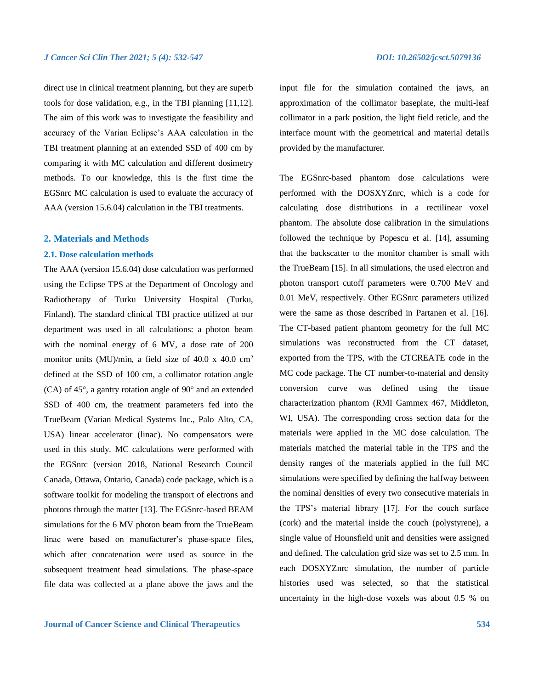direct use in clinical treatment planning, but they are superb tools for dose validation, e.g., in the TBI planning [11,12]. The aim of this work was to investigate the feasibility and accuracy of the Varian Eclipse's AAA calculation in the TBI treatment planning at an extended SSD of 400 cm by comparing it with MC calculation and different dosimetry methods. To our knowledge, this is the first time the EGSnrc MC calculation is used to evaluate the accuracy of AAA (version 15.6.04) calculation in the TBI treatments.

# **2. Materials and Methods**

### **2.1. Dose calculation methods**

The AAA (version 15.6.04) dose calculation was performed using the Eclipse TPS at the Department of Oncology and Radiotherapy of Turku University Hospital (Turku, Finland). The standard clinical TBI practice utilized at our department was used in all calculations: a photon beam with the nominal energy of 6 MV, a dose rate of 200 monitor units (MU)/min, a field size of 40.0  $x$  40.0 cm<sup>2</sup> defined at the SSD of 100 cm, a collimator rotation angle (CA) of 45°, a gantry rotation angle of 90° and an extended SSD of 400 cm, the treatment parameters fed into the TrueBeam (Varian Medical Systems Inc., Palo Alto, CA, USA) linear accelerator (linac). No compensators were used in this study. MC calculations were performed with the EGSnrc (version 2018, National Research Council Canada, Ottawa, Ontario, Canada) code package, which is a software toolkit for modeling the transport of electrons and photons through the matter [13]. The EGSnrc-based BEAM simulations for the 6 MV photon beam from the TrueBeam linac were based on manufacturer's phase-space files, which after concatenation were used as source in the subsequent treatment head simulations. The phase-space file data was collected at a plane above the jaws and the

input file for the simulation contained the jaws, an approximation of the collimator baseplate, the multi-leaf collimator in a park position, the light field reticle, and the interface mount with the geometrical and material details provided by the manufacturer.

The EGSnrc-based phantom dose calculations were performed with the DOSXYZnrc, which is a code for calculating dose distributions in a rectilinear voxel phantom. The absolute dose calibration in the simulations followed the technique by Popescu et al. [14], assuming that the backscatter to the monitor chamber is small with the TrueBeam [15]. In all simulations, the used electron and photon transport cutoff parameters were 0.700 MeV and 0.01 MeV, respectively. Other EGSnrc parameters utilized were the same as those described in Partanen et al. [16]. The CT-based patient phantom geometry for the full MC simulations was reconstructed from the CT dataset, exported from the TPS, with the CTCREATE code in the MC code package. The CT number-to-material and density conversion curve was defined using the tissue characterization phantom (RMI Gammex 467, Middleton, WI, USA). The corresponding cross section data for the materials were applied in the MC dose calculation. The materials matched the material table in the TPS and the density ranges of the materials applied in the full MC simulations were specified by defining the halfway between the nominal densities of every two consecutive materials in the TPS's material library [17]. For the couch surface (cork) and the material inside the couch (polystyrene), a single value of Hounsfield unit and densities were assigned and defined. The calculation grid size was set to 2.5 mm. In each DOSXYZnrc simulation, the number of particle histories used was selected, so that the statistical uncertainty in the high-dose voxels was about 0.5 % on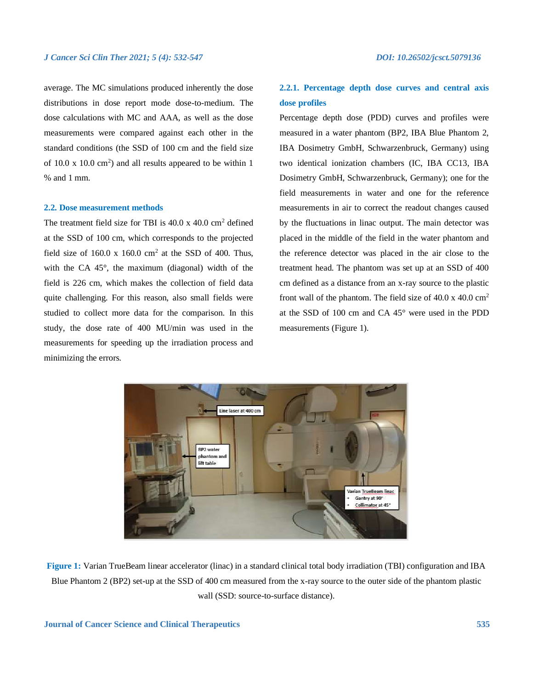average. The MC simulations produced inherently the dose distributions in dose report mode dose-to-medium. The dose calculations with MC and AAA, as well as the dose measurements were compared against each other in the standard conditions (the SSD of 100 cm and the field size of  $10.0 \times 10.0 \text{ cm}^2$ ) and all results appeared to be within 1 % and 1 mm.

# **2.2. Dose measurement methods**

The treatment field size for TBI is  $40.0 \times 40.0 \text{ cm}^2$  defined at the SSD of 100 cm, which corresponds to the projected field size of  $160.0 \times 160.0 \text{ cm}^2$  at the SSD of 400. Thus, with the CA 45°, the maximum (diagonal) width of the field is 226 cm, which makes the collection of field data quite challenging. For this reason, also small fields were studied to collect more data for the comparison. In this study, the dose rate of 400 MU/min was used in the measurements for speeding up the irradiation process and minimizing the errors.

# **2.2.1. Percentage depth dose curves and central axis dose profiles**

Percentage depth dose (PDD) curves and profiles were measured in a water phantom (BP2, IBA Blue Phantom 2, IBA Dosimetry GmbH, Schwarzenbruck, Germany) using two identical ionization chambers (IC, IBA CC13, IBA Dosimetry GmbH, Schwarzenbruck, Germany); one for the field measurements in water and one for the reference measurements in air to correct the readout changes caused by the fluctuations in linac output. The main detector was placed in the middle of the field in the water phantom and the reference detector was placed in the air close to the treatment head. The phantom was set up at an SSD of 400 cm defined as a distance from an x-ray source to the plastic front wall of the phantom. The field size of  $40.0 \times 40.0 \text{ cm}^2$ at the SSD of 100 cm and CA 45° were used in the PDD measurements (Figure 1).



**Figure 1:** Varian TrueBeam linear accelerator (linac) in a standard clinical total body irradiation (TBI) configuration and IBA Blue Phantom 2 (BP2) set-up at the SSD of 400 cm measured from the x-ray source to the outer side of the phantom plastic wall (SSD: source-to-surface distance).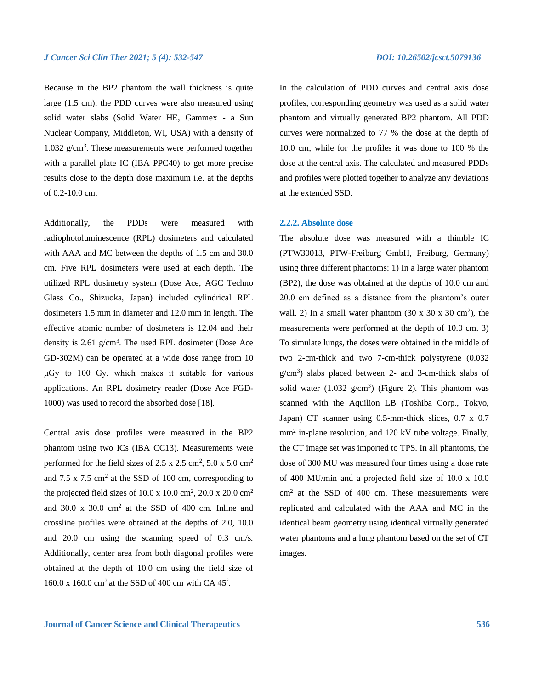Because in the BP2 phantom the wall thickness is quite large (1.5 cm), the PDD curves were also measured using solid water slabs (Solid Water HE, Gammex - a Sun Nuclear Company, Middleton, WI, USA) with a density of 1.032 g/cm<sup>3</sup> . These measurements were performed together with a parallel plate IC (IBA PPC40) to get more precise results close to the depth dose maximum i.e. at the depths of 0.2-10.0 cm.

Additionally, the PDDs were measured with radiophotoluminescence (RPL) dosimeters and calculated with AAA and MC between the depths of 1.5 cm and 30.0 cm. Five RPL dosimeters were used at each depth. The utilized RPL dosimetry system (Dose Ace, AGC Techno Glass Co., Shizuoka, Japan) included cylindrical RPL dosimeters 1.5 mm in diameter and 12.0 mm in length. The effective atomic number of dosimeters is 12.04 and their density is 2.61 g/cm<sup>3</sup>. The used RPL dosimeter (Dose Ace GD-302M) can be operated at a wide dose range from 10 μGy to 100 Gy, which makes it suitable for various applications. An RPL dosimetry reader (Dose Ace FGD-1000) was used to record the absorbed dose [18].

Central axis dose profiles were measured in the BP2 phantom using two ICs (IBA CC13). Measurements were performed for the field sizes of  $2.5 \times 2.5$  cm<sup>2</sup>,  $5.0 \times 5.0$  cm<sup>2</sup> and  $7.5 \times 7.5$  cm<sup>2</sup> at the SSD of 100 cm, corresponding to the projected field sizes of  $10.0 \times 10.0 \text{ cm}^2$ ,  $20.0 \times 20.0 \text{ cm}^2$ and 30.0 x 30.0  $\text{cm}^2$  at the SSD of 400 cm. Inline and crossline profiles were obtained at the depths of 2.0, 10.0 and 20.0 cm using the scanning speed of 0.3 cm/s. Additionally, center area from both diagonal profiles were obtained at the depth of 10.0 cm using the field size of  $160.0 \times 160.0$  cm<sup>2</sup> at the SSD of 400 cm with CA 45°.

In the calculation of PDD curves and central axis dose profiles, corresponding geometry was used as a solid water phantom and virtually generated BP2 phantom. All PDD curves were normalized to 77 % the dose at the depth of 10.0 cm, while for the profiles it was done to 100 % the dose at the central axis. The calculated and measured PDDs and profiles were plotted together to analyze any deviations at the extended SSD.

### **2.2.2. Absolute dose**

The absolute dose was measured with a thimble IC (PTW30013, PTW-Freiburg GmbH, Freiburg, Germany) using three different phantoms: 1) In a large water phantom (BP2), the dose was obtained at the depths of 10.0 cm and 20.0 cm defined as a distance from the phantom's outer wall. 2) In a small water phantom  $(30 \times 30 \times 30 \text{ cm}^2)$ , the measurements were performed at the depth of 10.0 cm. 3) To simulate lungs, the doses were obtained in the middle of two 2-cm-thick and two 7-cm-thick polystyrene (0.032 g/cm<sup>3</sup> ) slabs placed between 2- and 3-cm-thick slabs of solid water  $(1.032 \text{ g/cm}^3)$  (Figure 2). This phantom was scanned with the Aquilion LB (Toshiba Corp., Tokyo, Japan) CT scanner using 0.5-mm-thick slices, 0.7 x 0.7 mm<sup>2</sup> in-plane resolution, and 120 kV tube voltage. Finally, the CT image set was imported to TPS. In all phantoms, the dose of 300 MU was measured four times using a dose rate of 400 MU/min and a projected field size of 10.0 x 10.0 cm<sup>2</sup> at the SSD of 400 cm. These measurements were replicated and calculated with the AAA and MC in the identical beam geometry using identical virtually generated water phantoms and a lung phantom based on the set of CT images.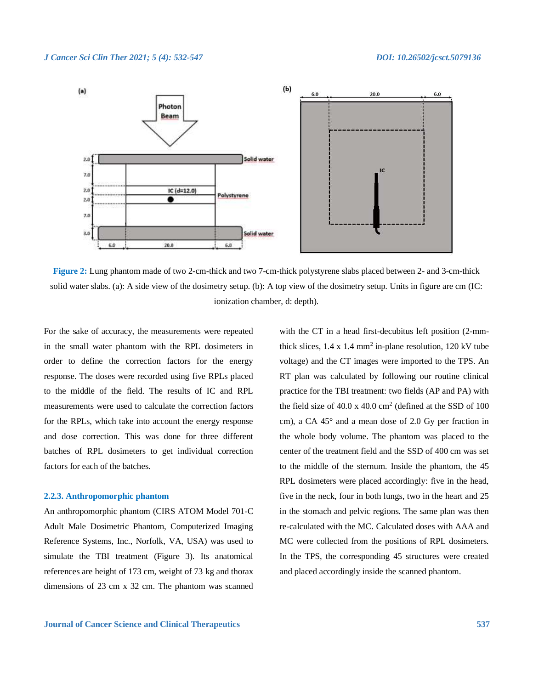

**Figure 2:** Lung phantom made of two 2-cm-thick and two 7-cm-thick polystyrene slabs placed between 2- and 3-cm-thick solid water slabs. (a): A side view of the dosimetry setup. (b): A top view of the dosimetry setup. Units in figure are cm (IC: ionization chamber, d: depth).

For the sake of accuracy, the measurements were repeated in the small water phantom with the RPL dosimeters in order to define the correction factors for the energy response. The doses were recorded using five RPLs placed to the middle of the field. The results of IC and RPL measurements were used to calculate the correction factors for the RPLs, which take into account the energy response and dose correction. This was done for three different batches of RPL dosimeters to get individual correction factors for each of the batches.

# **2.2.3. Anthropomorphic phantom**

An anthropomorphic phantom (CIRS ATOM Model 701-C Adult Male Dosimetric Phantom, Computerized Imaging Reference Systems, Inc., Norfolk, VA, USA) was used to simulate the TBI treatment (Figure 3). Its anatomical references are height of 173 cm, weight of 73 kg and thorax dimensions of 23 cm x 32 cm. The phantom was scanned

with the CT in a head first-decubitus left position (2-mmthick slices,  $1.4 \times 1.4$  mm<sup>2</sup> in-plane resolution,  $120 \text{ kV}$  tube voltage) and the CT images were imported to the TPS. An RT plan was calculated by following our routine clinical practice for the TBI treatment: two fields (AP and PA) with the field size of 40.0 x 40.0 cm<sup>2</sup> (defined at the SSD of 100 cm), a CA 45° and a mean dose of 2.0 Gy per fraction in the whole body volume. The phantom was placed to the center of the treatment field and the SSD of 400 cm was set to the middle of the sternum. Inside the phantom, the 45 RPL dosimeters were placed accordingly: five in the head, five in the neck, four in both lungs, two in the heart and 25 in the stomach and pelvic regions. The same plan was then re-calculated with the MC. Calculated doses with AAA and MC were collected from the positions of RPL dosimeters. In the TPS, the corresponding 45 structures were created and placed accordingly inside the scanned phantom.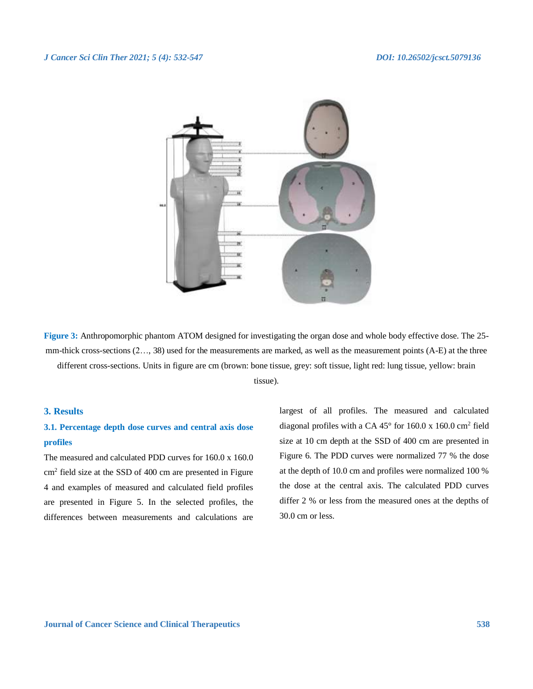

**Figure 3:** Anthropomorphic phantom ATOM designed for investigating the organ dose and whole body effective dose. The 25 mm-thick cross-sections (2…, 38) used for the measurements are marked, as well as the measurement points (A-E) at the three different cross-sections. Units in figure are cm (brown: bone tissue, grey: soft tissue, light red: lung tissue, yellow: brain tissue).

# **3. Results**

# **3.1. Percentage depth dose curves and central axis dose profiles**

The measured and calculated PDD curves for 160.0 x 160.0 cm<sup>2</sup> field size at the SSD of 400 cm are presented in Figure 4 and examples of measured and calculated field profiles are presented in Figure 5. In the selected profiles, the differences between measurements and calculations are

largest of all profiles. The measured and calculated diagonal profiles with a CA 45° for 160.0 x 160.0 cm<sup>2</sup> field size at 10 cm depth at the SSD of 400 cm are presented in Figure 6. The PDD curves were normalized 77 % the dose at the depth of 10.0 cm and profiles were normalized 100 % the dose at the central axis. The calculated PDD curves differ 2 % or less from the measured ones at the depths of 30.0 cm or less.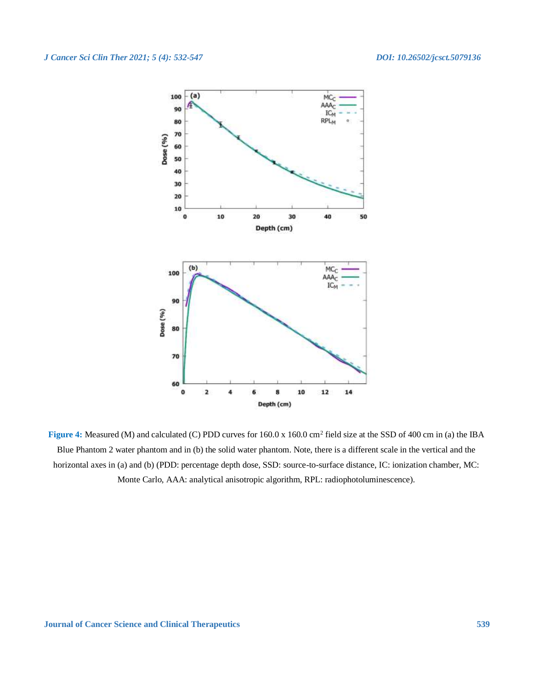

Figure 4: Measured (M) and calculated (C) PDD curves for 160.0 x 160.0 cm<sup>2</sup> field size at the SSD of 400 cm in (a) the IBA Blue Phantom 2 water phantom and in (b) the solid water phantom. Note, there is a different scale in the vertical and the horizontal axes in (a) and (b) (PDD: percentage depth dose, SSD: source-to-surface distance, IC: ionization chamber, MC: Monte Carlo, AAA: analytical anisotropic algorithm, RPL: radiophotoluminescence).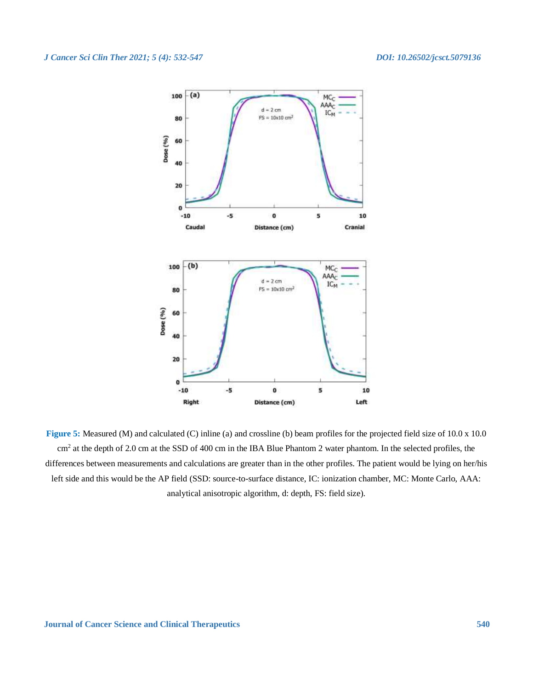

**Figure 5:** Measured (M) and calculated (C) inline (a) and crossline (b) beam profiles for the projected field size of 10.0 x 10.0 cm<sup>2</sup> at the depth of 2.0 cm at the SSD of 400 cm in the IBA Blue Phantom 2 water phantom. In the selected profiles, the differences between measurements and calculations are greater than in the other profiles. The patient would be lying on her/his left side and this would be the AP field (SSD: source-to-surface distance, IC: ionization chamber, MC: Monte Carlo, AAA: analytical anisotropic algorithm, d: depth, FS: field size).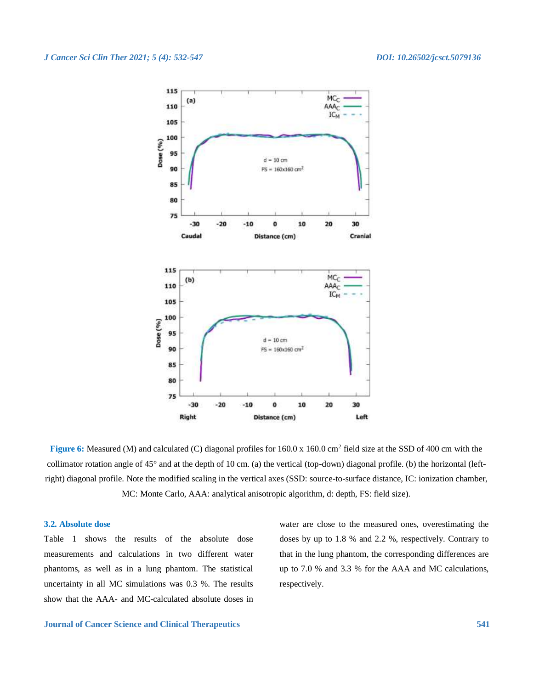

**Figure 6:** Measured (M) and calculated (C) diagonal profiles for  $160.0 \times 160.0 \text{ cm}^2$  field size at the SSD of 400 cm with the collimator rotation angle of 45° and at the depth of 10 cm. (a) the vertical (top-down) diagonal profile. (b) the horizontal (leftright) diagonal profile. Note the modified scaling in the vertical axes (SSD: source-to-surface distance, IC: ionization chamber, MC: Monte Carlo, AAA: analytical anisotropic algorithm, d: depth, FS: field size).

# **3.2. Absolute dose**

Table 1 shows the results of the absolute dose measurements and calculations in two different water phantoms, as well as in a lung phantom. The statistical uncertainty in all MC simulations was 0.3 %. The results show that the AAA- and MC-calculated absolute doses in water are close to the measured ones, overestimating the doses by up to 1.8 % and 2.2 %, respectively. Contrary to that in the lung phantom, the corresponding differences are up to 7.0 % and 3.3 % for the AAA and MC calculations, respectively.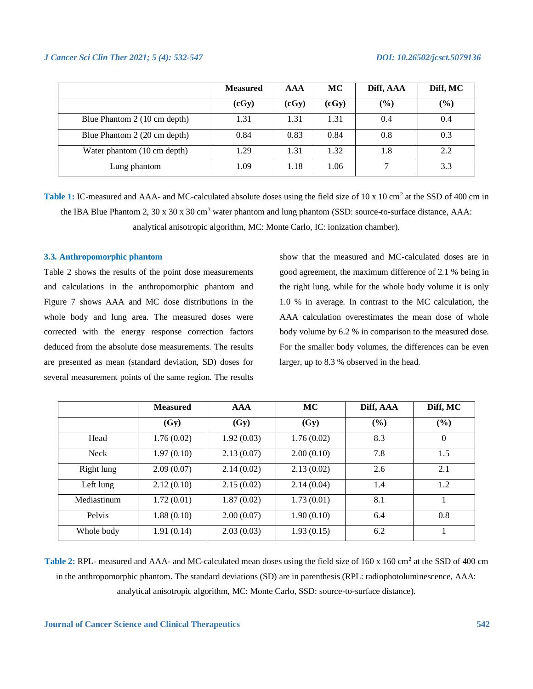|                              | <b>Measured</b> | <b>AAA</b> | MC    | Diff, AAA | Diff, MC |
|------------------------------|-----------------|------------|-------|-----------|----------|
|                              | (cGy)           | (cGy)      | (cGy) | (%)       | $(\%)$   |
| Blue Phantom 2 (10 cm depth) | 1.31            | 1.31       | 1.31  | 0.4       | 0.4      |
| Blue Phantom 2 (20 cm depth) | 0.84            | 0.83       | 0.84  | 0.8       | 0.3      |
| Water phantom (10 cm depth)  | 1.29            | 1.31       | 1.32  | 1.8       | 2.2      |
| Lung phantom                 | 1.09            | 1.18       | 1.06  |           | 3.3      |

Table 1: IC-measured and AAA- and MC-calculated absolute doses using the field size of 10 x 10 cm<sup>2</sup> at the SSD of 400 cm in the IBA Blue Phantom 2, 30 x 30 x 30 cm<sup>3</sup> water phantom and lung phantom (SSD: source-to-surface distance, AAA: analytical anisotropic algorithm, MC: Monte Carlo, IC: ionization chamber).

# **3.3. Anthropomorphic phantom**

Table 2 shows the results of the point dose measurements and calculations in the anthropomorphic phantom and Figure 7 shows AAA and MC dose distributions in the whole body and lung area. The measured doses were corrected with the energy response correction factors deduced from the absolute dose measurements. The results are presented as mean (standard deviation, SD) doses for several measurement points of the same region. The results

show that the measured and MC-calculated doses are in good agreement, the maximum difference of 2.1 % being in the right lung, while for the whole body volume it is only 1.0 % in average. In contrast to the MC calculation, the AAA calculation overestimates the mean dose of whole body volume by 6.2 % in comparison to the measured dose. For the smaller body volumes, the differences can be even larger, up to 8.3 % observed in the head.

|             | <b>Measured</b> | <b>AAA</b> | <b>MC</b>  | Diff, AAA | Diff, MC |
|-------------|-----------------|------------|------------|-----------|----------|
|             | (Gy)            | (Gy)       | (Gy)       | (%)       | (%)      |
| Head        | 1.76(0.02)      | 1.92(0.03) | 1.76(0.02) | 8.3       | $\Omega$ |
| <b>Neck</b> | 1.97(0.10)      | 2.13(0.07) | 2.00(0.10) | 7.8       | 1.5      |
| Right lung  | 2.09(0.07)      | 2.14(0.02) | 2.13(0.02) | 2.6       | 2.1      |
| Left lung   | 2.12(0.10)      | 2.15(0.02) | 2.14(0.04) | 1.4       | 1.2      |
| Mediastinum | 1.72(0.01)      | 1.87(0.02) | 1.73(0.01) | 8.1       |          |
| Pelvis      | 1.88(0.10)      | 2.00(0.07) | 1.90(0.10) | 6.4       | 0.8      |
| Whole body  | 1.91(0.14)      | 2.03(0.03) | 1.93(0.15) | 6.2       |          |

Table 2: RPL- measured and AAA- and MC-calculated mean doses using the field size of 160 x 160 cm<sup>2</sup> at the SSD of 400 cm in the anthropomorphic phantom. The standard deviations (SD) are in parenthesis (RPL: radiophotoluminescence, AAA: analytical anisotropic algorithm, MC: Monte Carlo, SSD: source-to-surface distance).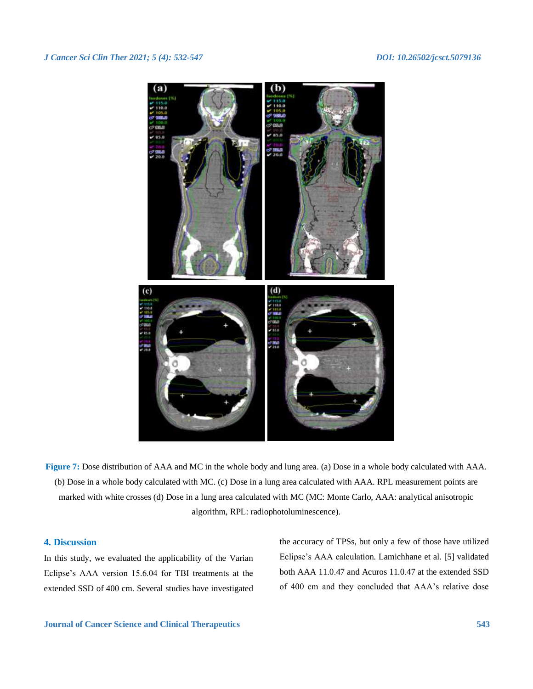

**Figure 7:** Dose distribution of AAA and MC in the whole body and lung area. (a) Dose in a whole body calculated with AAA. (b) Dose in a whole body calculated with MC. (c) Dose in a lung area calculated with AAA. RPL measurement points are marked with white crosses (d) Dose in a lung area calculated with MC (MC: Monte Carlo, AAA: analytical anisotropic algorithm, RPL: radiophotoluminescence).

# **4. Discussion**

In this study, we evaluated the applicability of the Varian Eclipse's AAA version 15.6.04 for TBI treatments at the extended SSD of 400 cm. Several studies have investigated the accuracy of TPSs, but only a few of those have utilized Eclipse's AAA calculation. Lamichhane et al. [5] validated both AAA 11.0.47 and Acuros 11.0.47 at the extended SSD of 400 cm and they concluded that AAA's relative dose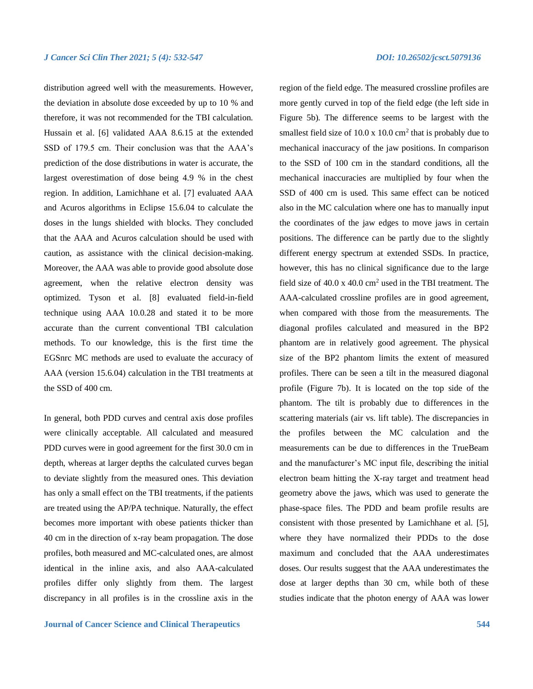distribution agreed well with the measurements. However, the deviation in absolute dose exceeded by up to 10 % and therefore, it was not recommended for the TBI calculation. Hussain et al. [6] validated AAA 8.6.15 at the extended SSD of 179.5 cm. Their conclusion was that the AAA's prediction of the dose distributions in water is accurate, the largest overestimation of dose being 4.9 % in the chest region. In addition, Lamichhane et al. [7] evaluated AAA and Acuros algorithms in Eclipse 15.6.04 to calculate the doses in the lungs shielded with blocks. They concluded that the AAA and Acuros calculation should be used with caution, as assistance with the clinical decision-making. Moreover, the AAA was able to provide good absolute dose agreement, when the relative electron density was optimized. Tyson et al. [8] evaluated field-in-field technique using AAA 10.0.28 and stated it to be more accurate than the current conventional TBI calculation methods. To our knowledge, this is the first time the EGSnrc MC methods are used to evaluate the accuracy of AAA (version 15.6.04) calculation in the TBI treatments at the SSD of 400 cm.

In general, both PDD curves and central axis dose profiles were clinically acceptable. All calculated and measured PDD curves were in good agreement for the first 30.0 cm in depth, whereas at larger depths the calculated curves began to deviate slightly from the measured ones. This deviation has only a small effect on the TBI treatments, if the patients are treated using the AP/PA technique. Naturally, the effect becomes more important with obese patients thicker than 40 cm in the direction of x-ray beam propagation. The dose profiles, both measured and MC-calculated ones, are almost identical in the inline axis, and also AAA-calculated profiles differ only slightly from them. The largest discrepancy in all profiles is in the crossline axis in the region of the field edge. The measured crossline profiles are more gently curved in top of the field edge (the left side in Figure 5b). The difference seems to be largest with the smallest field size of  $10.0 \times 10.0$  cm<sup>2</sup> that is probably due to mechanical inaccuracy of the jaw positions. In comparison to the SSD of 100 cm in the standard conditions, all the mechanical inaccuracies are multiplied by four when the SSD of 400 cm is used. This same effect can be noticed also in the MC calculation where one has to manually input the coordinates of the jaw edges to move jaws in certain positions. The difference can be partly due to the slightly different energy spectrum at extended SSDs. In practice, however, this has no clinical significance due to the large field size of  $40.0 \times 40.0 \text{ cm}^2$  used in the TBI treatment. The AAA-calculated crossline profiles are in good agreement, when compared with those from the measurements. The diagonal profiles calculated and measured in the BP2 phantom are in relatively good agreement. The physical size of the BP2 phantom limits the extent of measured profiles. There can be seen a tilt in the measured diagonal profile (Figure 7b). It is located on the top side of the phantom. The tilt is probably due to differences in the scattering materials (air vs. lift table). The discrepancies in the profiles between the MC calculation and the measurements can be due to differences in the TrueBeam and the manufacturer's MC input file, describing the initial electron beam hitting the X-ray target and treatment head geometry above the jaws, which was used to generate the phase-space files. The PDD and beam profile results are consistent with those presented by Lamichhane et al. [5], where they have normalized their PDDs to the dose maximum and concluded that the AAA underestimates doses. Our results suggest that the AAA underestimates the dose at larger depths than 30 cm, while both of these studies indicate that the photon energy of AAA was lower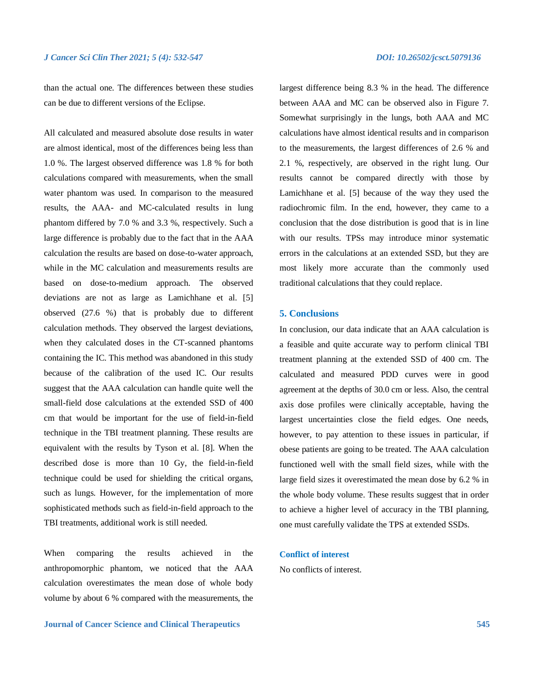than the actual one. The differences between these studies can be due to different versions of the Eclipse.

All calculated and measured absolute dose results in water are almost identical, most of the differences being less than 1.0 %. The largest observed difference was 1.8 % for both calculations compared with measurements, when the small water phantom was used. In comparison to the measured results, the AAA- and MC-calculated results in lung phantom differed by 7.0 % and 3.3 %, respectively. Such a large difference is probably due to the fact that in the AAA calculation the results are based on dose-to-water approach, while in the MC calculation and measurements results are based on dose-to-medium approach. The observed deviations are not as large as Lamichhane et al. [5] observed (27.6 %) that is probably due to different calculation methods. They observed the largest deviations, when they calculated doses in the CT-scanned phantoms containing the IC. This method was abandoned in this study because of the calibration of the used IC. Our results suggest that the AAA calculation can handle quite well the small-field dose calculations at the extended SSD of 400 cm that would be important for the use of field-in-field technique in the TBI treatment planning. These results are equivalent with the results by Tyson et al. [8]. When the described dose is more than 10 Gy, the field-in-field technique could be used for shielding the critical organs, such as lungs. However, for the implementation of more sophisticated methods such as field-in-field approach to the TBI treatments, additional work is still needed.

When comparing the results achieved in the anthropomorphic phantom, we noticed that the AAA calculation overestimates the mean dose of whole body volume by about 6 % compared with the measurements, the largest difference being 8.3 % in the head. The difference between AAA and MC can be observed also in Figure 7. Somewhat surprisingly in the lungs, both AAA and MC calculations have almost identical results and in comparison to the measurements, the largest differences of 2.6 % and 2.1 %, respectively, are observed in the right lung. Our results cannot be compared directly with those by Lamichhane et al. [5] because of the way they used the radiochromic film. In the end, however, they came to a conclusion that the dose distribution is good that is in line with our results. TPSs may introduce minor systematic errors in the calculations at an extended SSD, but they are most likely more accurate than the commonly used traditional calculations that they could replace.

# **5. Conclusions**

In conclusion, our data indicate that an AAA calculation is a feasible and quite accurate way to perform clinical TBI treatment planning at the extended SSD of 400 cm. The calculated and measured PDD curves were in good agreement at the depths of 30.0 cm or less. Also, the central axis dose profiles were clinically acceptable, having the largest uncertainties close the field edges. One needs, however, to pay attention to these issues in particular, if obese patients are going to be treated. The AAA calculation functioned well with the small field sizes, while with the large field sizes it overestimated the mean dose by 6.2 % in the whole body volume. These results suggest that in order to achieve a higher level of accuracy in the TBI planning, one must carefully validate the TPS at extended SSDs.

# **Conflict of interest**

No conflicts of interest.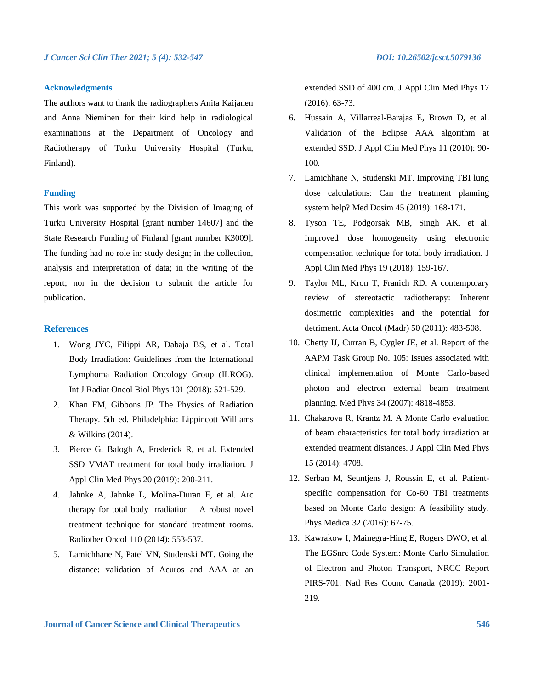# **Acknowledgments**

The authors want to thank the radiographers Anita Kaijanen and Anna Nieminen for their kind help in radiological examinations at the Department of Oncology and Radiotherapy of Turku University Hospital (Turku, Finland).

### **Funding**

This work was supported by the Division of Imaging of Turku University Hospital [grant number 14607] and the State Research Funding of Finland [grant number K3009]. The funding had no role in: study design; in the collection, analysis and interpretation of data; in the writing of the report; nor in the decision to submit the article for publication.

# **References**

- 1. Wong JYC, Filippi AR, Dabaja BS, et al. Total Body Irradiation: Guidelines from the International Lymphoma Radiation Oncology Group (ILROG). Int J Radiat Oncol Biol Phys 101 (2018): 521-529.
- 2. Khan FM, Gibbons JP. The Physics of Radiation Therapy. 5th ed. Philadelphia: Lippincott Williams & Wilkins (2014).
- 3. Pierce G, Balogh A, Frederick R, et al. Extended SSD VMAT treatment for total body irradiation. J Appl Clin Med Phys 20 (2019): 200-211.
- 4. Jahnke A, Jahnke L, Molina-Duran F, et al. Arc therapy for total body irradiation  $- A$  robust novel treatment technique for standard treatment rooms. Radiother Oncol 110 (2014): 553-537.
- 5. Lamichhane N, Patel VN, Studenski MT. Going the distance: validation of Acuros and AAA at an

extended SSD of 400 cm. J Appl Clin Med Phys 17 (2016): 63-73.

- 6. Hussain A, Villarreal-Barajas E, Brown D, et al. Validation of the Eclipse AAA algorithm at extended SSD. J Appl Clin Med Phys 11 (2010): 90- 100.
- 7. Lamichhane N, Studenski MT. Improving TBI lung dose calculations: Can the treatment planning system help? Med Dosim 45 (2019): 168-171.
- 8. Tyson TE, Podgorsak MB, Singh AK, et al. Improved dose homogeneity using electronic compensation technique for total body irradiation. J Appl Clin Med Phys 19 (2018): 159-167.
- 9. Taylor ML, Kron T, Franich RD. A contemporary review of stereotactic radiotherapy: Inherent dosimetric complexities and the potential for detriment. Acta Oncol (Madr) 50 (2011): 483-508.
- 10. Chetty IJ, Curran B, Cygler JE, et al. Report of the AAPM Task Group No. 105: Issues associated with clinical implementation of Monte Carlo-based photon and electron external beam treatment planning. Med Phys 34 (2007): 4818-4853.
- 11. Chakarova R, Krantz M. A Monte Carlo evaluation of beam characteristics for total body irradiation at extended treatment distances. J Appl Clin Med Phys 15 (2014): 4708.
- 12. Serban M, Seuntjens J, Roussin E, et al. Patientspecific compensation for Co-60 TBI treatments based on Monte Carlo design: A feasibility study. Phys Medica 32 (2016): 67-75.
- 13. Kawrakow I, Mainegra-Hing E, Rogers DWO, et al. The EGSnrc Code System: Monte Carlo Simulation of Electron and Photon Transport, NRCC Report PIRS-701. Natl Res Counc Canada (2019): 2001- 219.